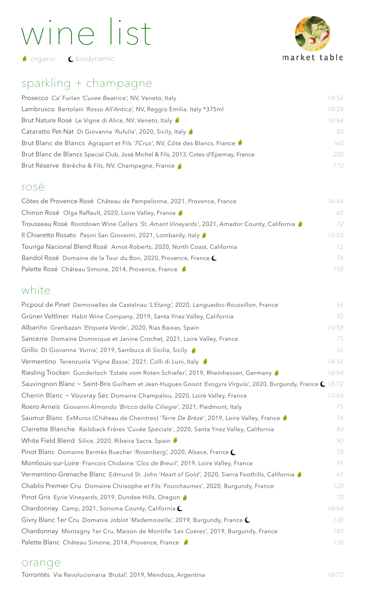# wine list

market table

**O** organic **C** biodynamic

# sparkling + champagne

| Prosecco Ca' Furlan 'Cuvee Beatrice', NV, Veneto, Italy                              | 14/56 |
|--------------------------------------------------------------------------------------|-------|
| Lambrusco Bertolani 'Rosso All'Antica', NV, Reggio Emilia, Italy *375ml              | 14/28 |
| Brut Nature Rosé Le Vigne di Alice, NV, Veneto, Italy                                | 16/64 |
| Cataratto Pet-Nat Di Giovanna 'Rufulía', 2020, Sicily, Italy                         | 80    |
| Brut Blanc de Blancs Agrapart et Fils '7Crus', NV, Côte des Blancs, France           | 160   |
| Brut Blanc de Blancs Special Club, José Michel & Fils, 2013, Cotes d'Epernay, France | 200   |
| Brut Réserve Bérêche & Fils, NV, Champagne, France                                   | 170   |
|                                                                                      |       |

### rosé

| 16/64 |
|-------|
| 60    |
| 72    |
| 15/60 |
| 72    |
| 76    |
| 150   |
|       |

## white

| Picpoul de Pinet Demoiselles de Castelnau 'L'Etang', 2020, Languedoc-Roussillon, France                       | 56    |
|---------------------------------------------------------------------------------------------------------------|-------|
| Grüner Veltliner Habit Wine Company, 2019, Santa Ynez Valley, California                                      | 92    |
| Albariño Granbazan 'Etiqueta Verde', 2020, Rias Baixas, Spain                                                 | 15/58 |
| Sancerre Domaine Dominique et Janine Crochet, 2021, Loire Valley, France                                      | 75    |
| Grillo Di Giovanna 'Vurria', 2019, Sambuca di Sicilia, Sicily (                                               | 56    |
| Vermentino Terenzuola 'Vigne Basse', 2021, Colli di Luni, Italy                                               | 14/56 |
| Riesling Trocken Gunderloch 'Estate vom Roten Schiefer', 2019, Rheinhessen, Germany                           | 16/64 |
| Sauvingnon Blanc ~ Saint-Bris Guilhem et Jean-Hugues Goisot 'Exogyra Virgula', 2020, Burgundy, France C 18/72 |       |
| Chenin Blanc ~ Vouvray Sec Domaine Champalou, 2020, Loire Valley, France                                      | 17/68 |
| Roero Arneis Giovanni Almondo 'Bricco delle Ciliegie', 2021, Piedmont, Italy                                  | 75    |
| Saumur Blanc ExMuros (Château de Chaintres) 'Terre De Brézé', 2019, Loire Valley, France                      | 76    |
| Clairette Blanche Railsback Frères 'Cuvée Spéciale', 2020, Santa Ynez Valley, California                      | 80    |
| White Field Blend Silice, 2020, Ribeira Sacra, Spain                                                          | 90    |
| Pinot Blanc Domaine Barmès Buecher 'Rosenberg', 2020, Alsace, France C                                        | 78    |
| Montlouis-sur-Loire Francois Chidaine 'Clos de Breuil', 2019, Loire Valley, France                            | 95    |
| Vermentino-Grenache Blanc Edmund St. John 'Heart of Gold', 2020, Sierra Foothills, California ♪               | 65    |
| Chablis Premier Cru Domaine Chrisophe et Fils 'Fourchaumes', 2020, Burgundy, France                           | 120   |
| Pinot Gris Eyrie Vineyards, 2019, Dundee Hills, Oregon                                                        | 70    |
| Chardonnay Camp, 2021, Sonoma County, California $\mathsf{\mathbb{C}}$                                        | 16/64 |
| Givry Blanc 1 er Cru Domanie Joblot 'Mademoiselle', 2019, Burgundy, France C                                  | 130   |
| Chardonnay Montagny 1er Cru, Maison de Montille 'Les Coères', 2019, Burgundy, France                          | 140   |
| Palette Blanc Château Simone, 2014, Provence, France                                                          | 150   |

#### orange